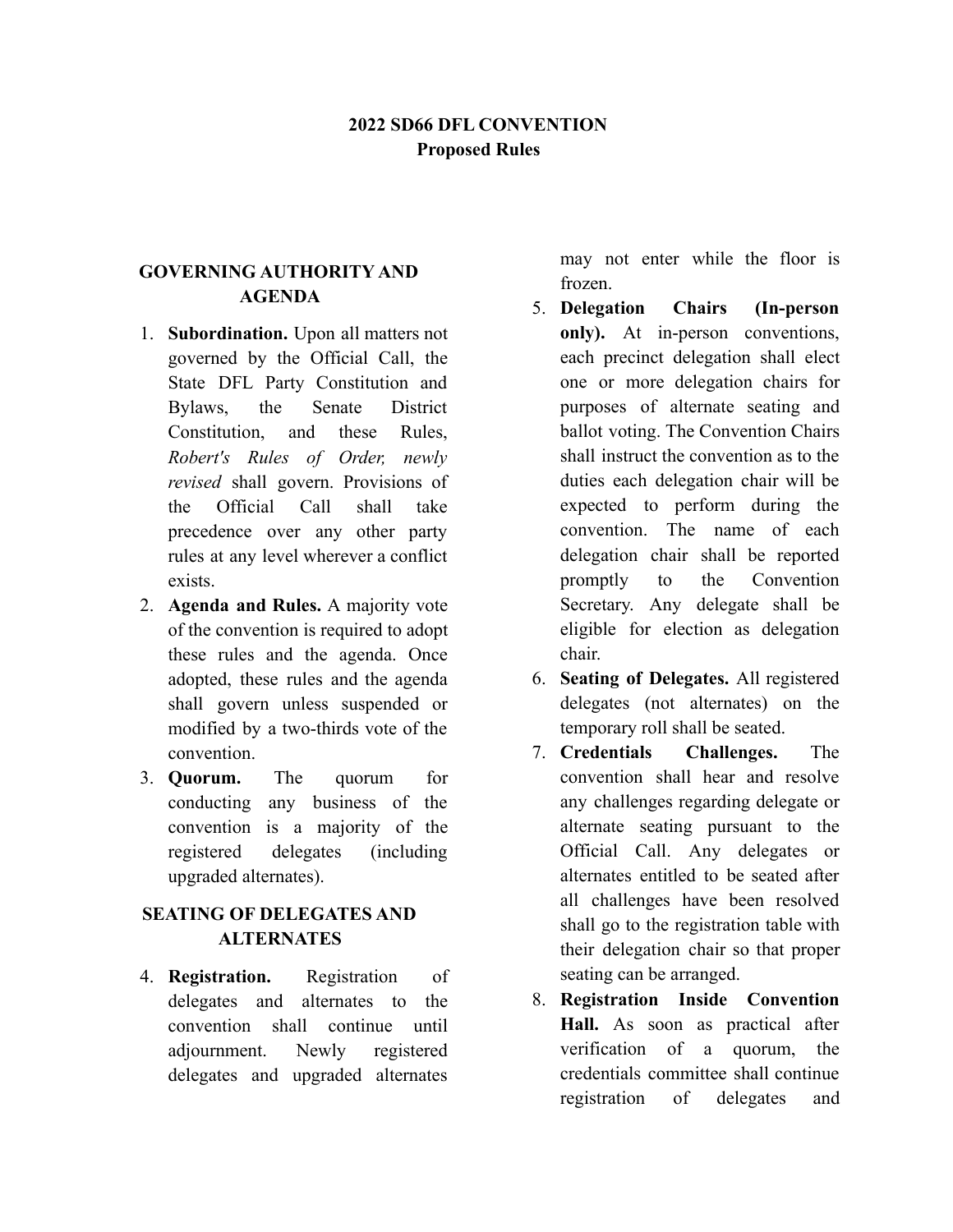### **2022 SD66 DFL CONVENTION Proposed Rules**

#### **GOVERNING AUTHORITY AND AGENDA**

- 1. **Subordination.** Upon all matters not governed by the Official Call, the State DFL Party Constitution and Bylaws, the Senate District Constitution and these Rules *Robert's Rules of Order, newly revised* shall govern. Provisions of the Official Call shall take precedence over any other party rules at any level wherever a conflict exists.
- 2. **Agenda and Rules.** A majority vote of the convention is required to adopt these rules and the agenda. Once adopted, these rules and the agenda shall govern unless suspended or modified by a two-thirds vote of the convention.
- 3. **Quorum.** The quorum for conducting any business of the convention is a majority of the registered delegates (including upgraded alternates).

### **SEATING OF DELEGATES AND ALTERNATES**

4. **Registration.** Registration of delegates and alternates to the convention shall continue until adjournment. Newly registered delegates and upgraded alternates

may not enter while the floor is frozen.

- 5. **Delegation Chairs (In-person only).** At in-person conventions, each precinct delegation shall elect one or more delegation chairs for purposes of alternate seating and ballot voting. The Convention Chairs shall instruct the convention as to the duties each delegation chair will be expected to perform during the convention. The name of each delegation chair shall be reported promptly to the Convention Secretary. Any delegate shall be eligible for election as delegation chair.
- 6. **Seating of Delegates.** All registered delegates (not alternates) on the temporary roll shall be seated.
- 7. **Credentials Challenges.** The convention shall hear and resolve any challenges regarding delegate or alternate seating pursuant to the Official Call. Any delegates or alternates entitled to be seated after all challenges have been resolved shall go to the registration table with their delegation chair so that proper seating can be arranged.
- 8. **Registration Inside Convention Hall.** As soon as practical after verification of a quorum, the credentials committee shall continue registration of delegates and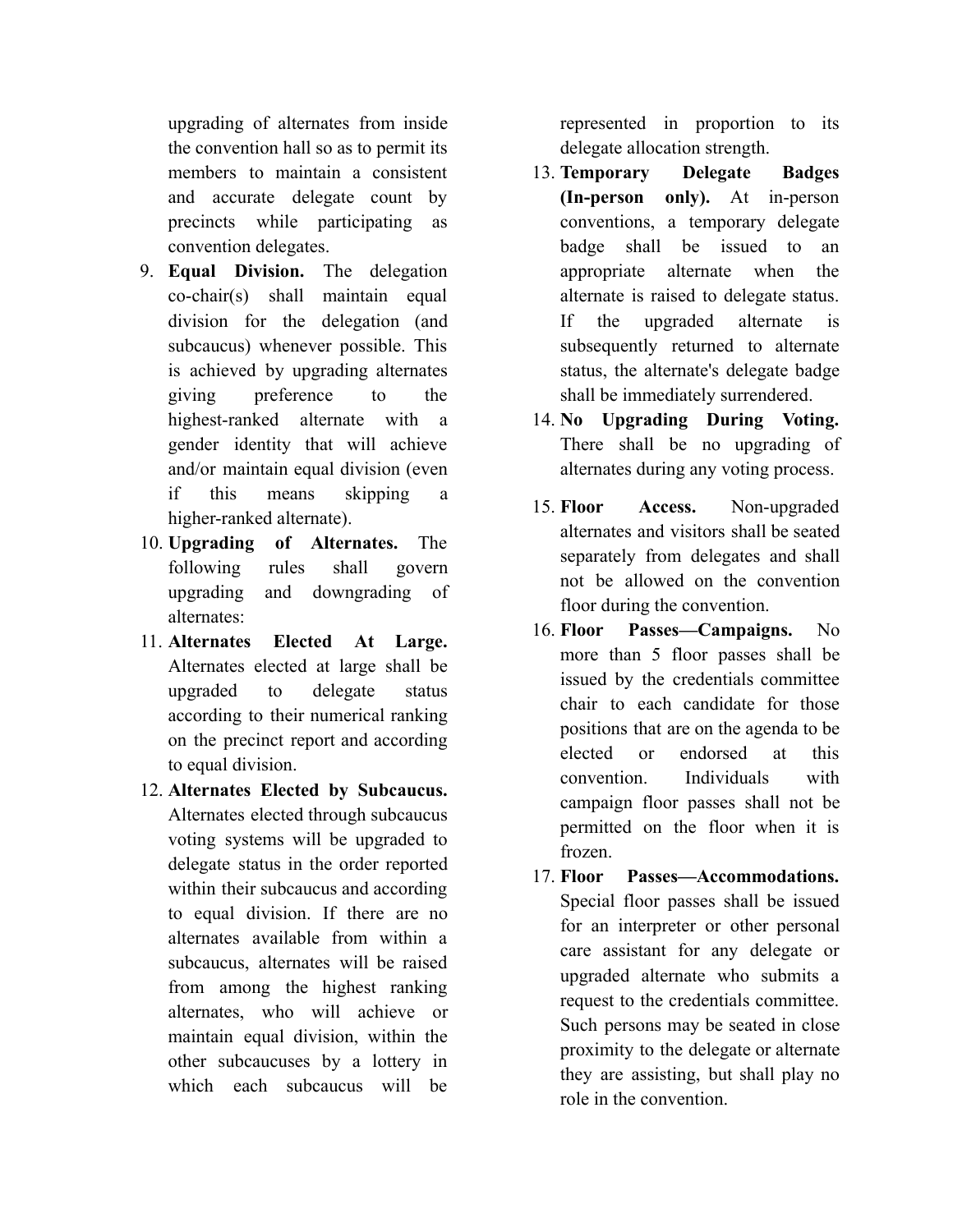upgrading of alternates from inside the convention hall so as to permit its members to maintain a consistent and accurate delegate count by precincts while participating as convention delegates.

- 9. **Equal Division.** The delegation co-chair(s) shall maintain equal division for the delegation (and subcaucus) whenever possible. This is achieved by upgrading alternates giving preference to the highest-ranked alternate with a gender identity that will achieve and/or maintain equal division (even if this means skipping a higher-ranked alternate).
- 10. **Upgrading of Alternates.** The following rules shall govern upgrading and downgrading of alternates:
- 11. **Alternates Elected At Large.** Alternates elected at large shall be upgraded to delegate status according to their numerical ranking on the precinct report and according to equal division.
- 12. **Alternates Elected by Subcaucus.** Alternates elected through subcaucus voting systems will be upgraded to delegate status in the order reported within their subcaucus and according to equal division. If there are no alternates available from within a subcaucus, alternates will be raised from among the highest ranking alternates, who will achieve or maintain equal division, within the other subcaucuses by a lottery in which each subcaucus will be

represented in proportion to its delegate allocation strength.

- 13. **Temporary Delegate Badges (In-person only).** At in-person conventions, a temporary delegate badge shall be issued to an appropriate alternate when the alternate is raised to delegate status. If the upgraded alternate is subsequently returned to alternate status, the alternate's delegate badge shall be immediately surrendered.
- 14. **No Upgrading During Voting.** There shall be no upgrading of alternates during any voting process.
- 15. **Floor Access.** Non-upgraded alternates and visitors shall be seated separately from delegates and shall not be allowed on the convention floor during the convention.
- 16. **Floor Passes—Campaigns.** No more than 5 floor passes shall be issued by the credentials committee chair to each candidate for those positions that are on the agenda to be elected or endorsed at this convention. Individuals with campaign floor passes shall not be permitted on the floor when it is frozen.
- 17. **Floor Passes—Accommodations.** Special floor passes shall be issued for an interpreter or other personal care assistant for any delegate or upgraded alternate who submits a request to the credentials committee. Such persons may be seated in close proximity to the delegate or alternate they are assisting, but shall play no role in the convention.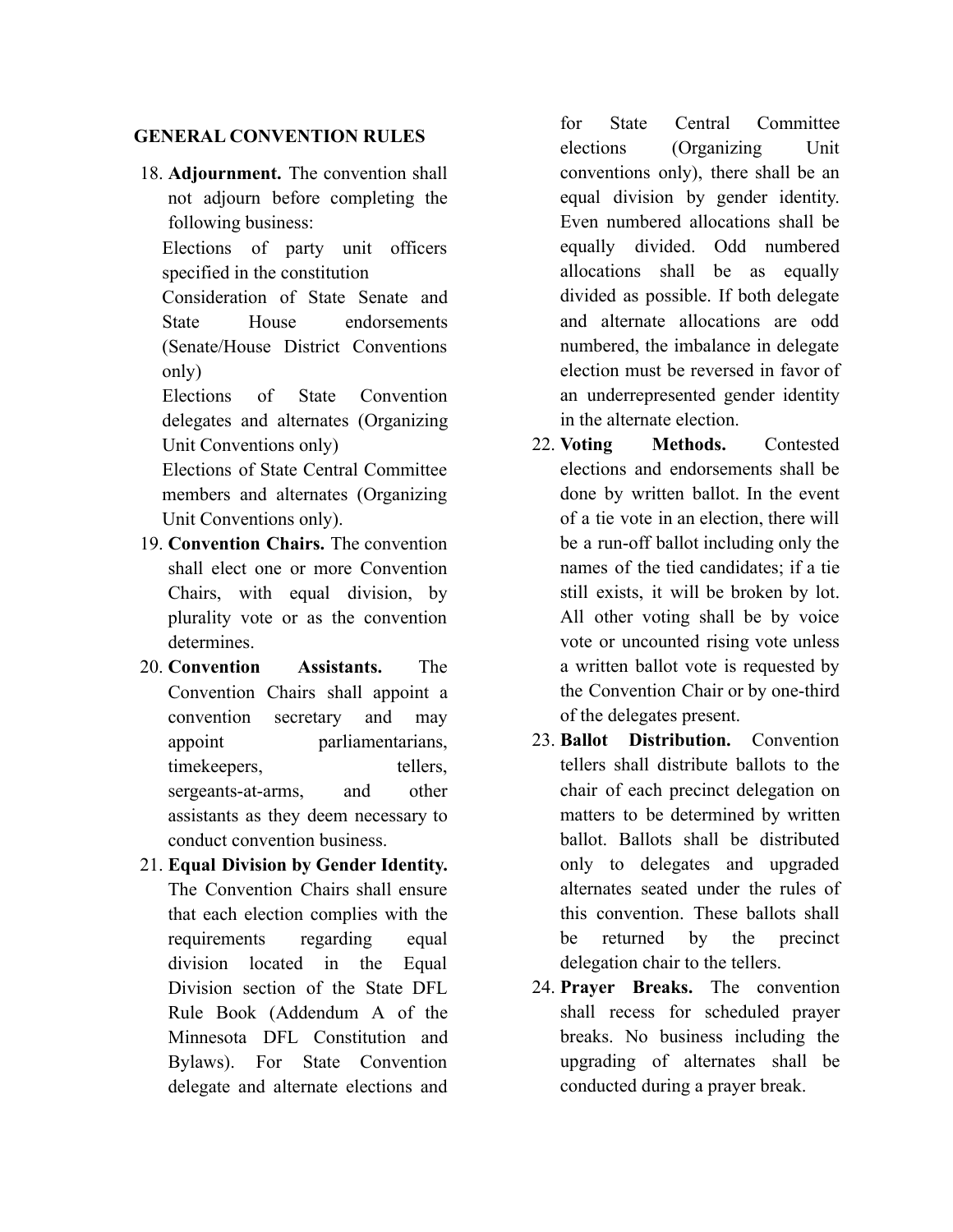#### **GENERAL CONVENTION RULES**

18. **Adjournment.** The convention shall not adjourn before completing the following business:

Elections of party unit officers specified in the constitution

Consideration of State Senate and State House endorsements (Senate/House District Conventions only)

Elections of State Convention delegates and alternates (Organizing Unit Conventions only)

Elections of State Central Committee members and alternates (Organizing Unit Conventions only).

- 19. **Convention Chairs.** The convention shall elect one or more Convention Chairs, with equal division, by plurality vote or as the convention determines.
- 20. **Convention Assistants.** The Convention Chairs shall appoint a convention secretary and may appoint parliamentarians, timekeepers, tellers, sergeants-at-arms, and other assistants as they deem necessary to conduct convention business.
- 21. **Equal Division by Gender Identity.** The Convention Chairs shall ensure that each election complies with the requirements regarding equal division located in the Equal Division section of the State DFL Rule Book (Addendum A of the Minnesota DFL Constitution and Bylaws). For State Convention delegate and alternate elections and

for State Central Committee elections (Organizing Unit conventions only), there shall be an equal division by gender identity. Even numbered allocations shall be equally divided. Odd numbered allocations shall be as equally divided as possible. If both delegate and alternate allocations are odd numbered, the imbalance in delegate election must be reversed in favor of an underrepresented gender identity in the alternate election.

- 22. **Voting Methods.** Contested elections and endorsements shall be done by written ballot. In the event of a tie vote in an election, there will be a run-off ballot including only the names of the tied candidates; if a tie still exists, it will be broken by lot. All other voting shall be by voice vote or uncounted rising vote unless a written ballot vote is requested by the Convention Chair or by one-third of the delegates present.
- 23. **Ballot Distribution.** Convention tellers shall distribute ballots to the chair of each precinct delegation on matters to be determined by written ballot. Ballots shall be distributed only to delegates and upgraded alternates seated under the rules of this convention. These ballots shall be returned by the precinct delegation chair to the tellers.
- 24. **Prayer Breaks.** The convention shall recess for scheduled prayer breaks. No business including the upgrading of alternates shall be conducted during a prayer break.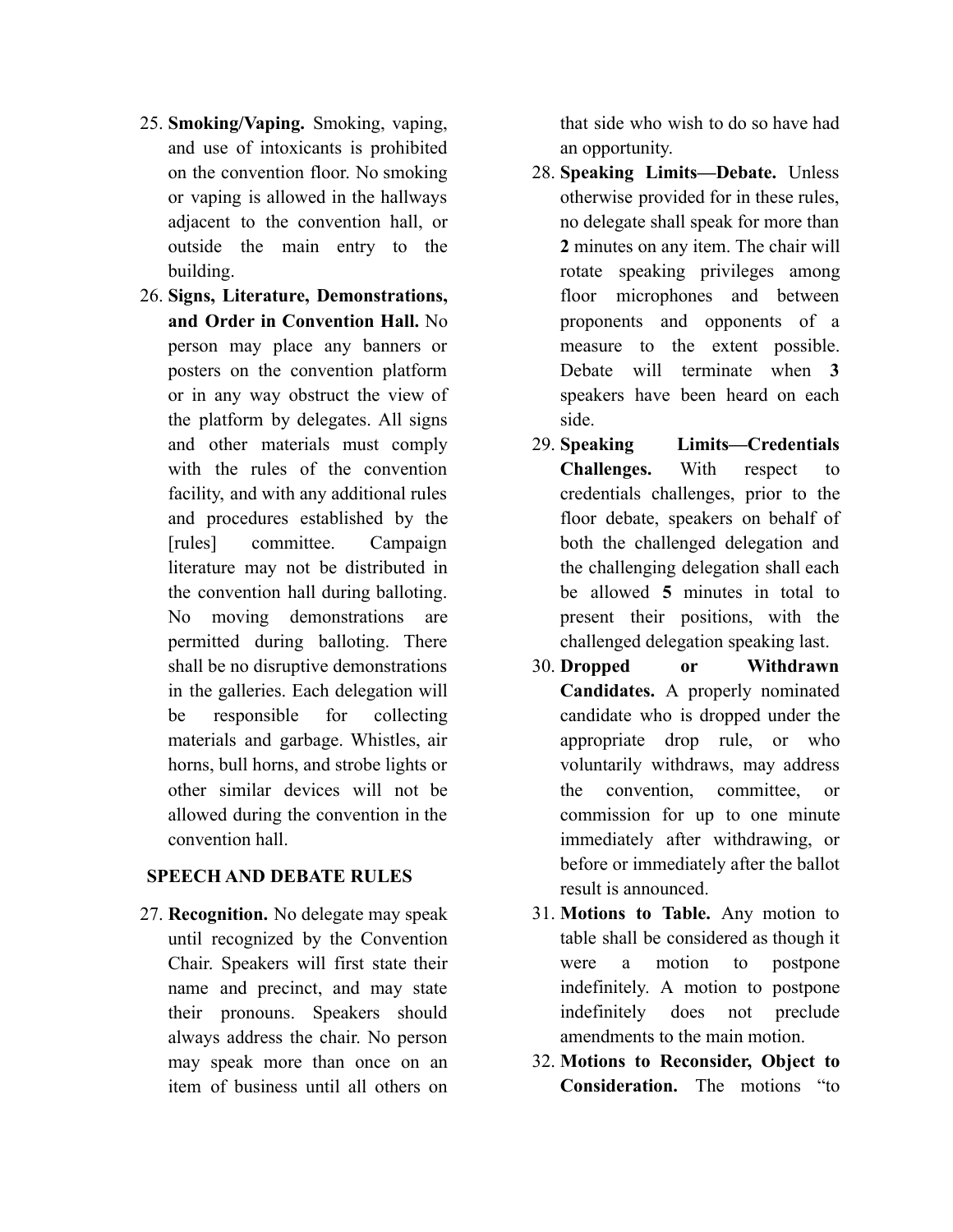- 25. **Smoking/Vaping.** Smoking, vaping, and use of intoxicants is prohibited on the convention floor. No smoking or vaping is allowed in the hallways adjacent to the convention hall, or outside the main entry to the building.
- 26. **Signs, Literature, Demonstrations, and Order in Convention Hall.** No person may place any banners or posters on the convention platform or in any way obstruct the view of the platform by delegates. All signs and other materials must comply with the rules of the convention facility, and with any additional rules and procedures established by the [rules] committee. Campaign literature may not be distributed in the convention hall during balloting. No moving demonstrations are permitted during balloting. There shall be no disruptive demonstrations in the galleries. Each delegation will be responsible for collecting materials and garbage. Whistles, air horns, bull horns, and strobe lights or other similar devices will not be allowed during the convention in the convention hall.

#### **SPEECH AND DEBATE RULES**

27. **Recognition.** No delegate may speak until recognized by the Convention Chair. Speakers will first state their name and precinct, and may state their pronouns. Speakers should always address the chair. No person may speak more than once on an item of business until all others on

that side who wish to do so have had an opportunity.

- 28. **Speaking Limits—Debate.** Unless otherwise provided for in these rules, no delegate shall speak for more than **2** minutes on any item. The chair will rotate speaking privileges among floor microphones and between proponents and opponents of a measure to the extent possible. Debate will terminate when **3** speakers have been heard on each side.
- 29. **Speaking Limits—Credentials Challenges.** With respect to credentials challenges, prior to the floor debate, speakers on behalf of both the challenged delegation and the challenging delegation shall each be allowed **5** minutes in total to present their positions, with the challenged delegation speaking last.
- 30. **Dropped or Withdrawn Candidates.** A properly nominated candidate who is dropped under the appropriate drop rule, or who voluntarily withdraws, may address the convention, committee, or commission for up to one minute immediately after withdrawing, or before or immediately after the ballot result is announced.
- 31. **Motions to Table.** Any motion to table shall be considered as though it were a motion to postpone indefinitely. A motion to postpone indefinitely does not preclude amendments to the main motion.
- 32. **Motions to Reconsider, Object to Consideration.** The motions "to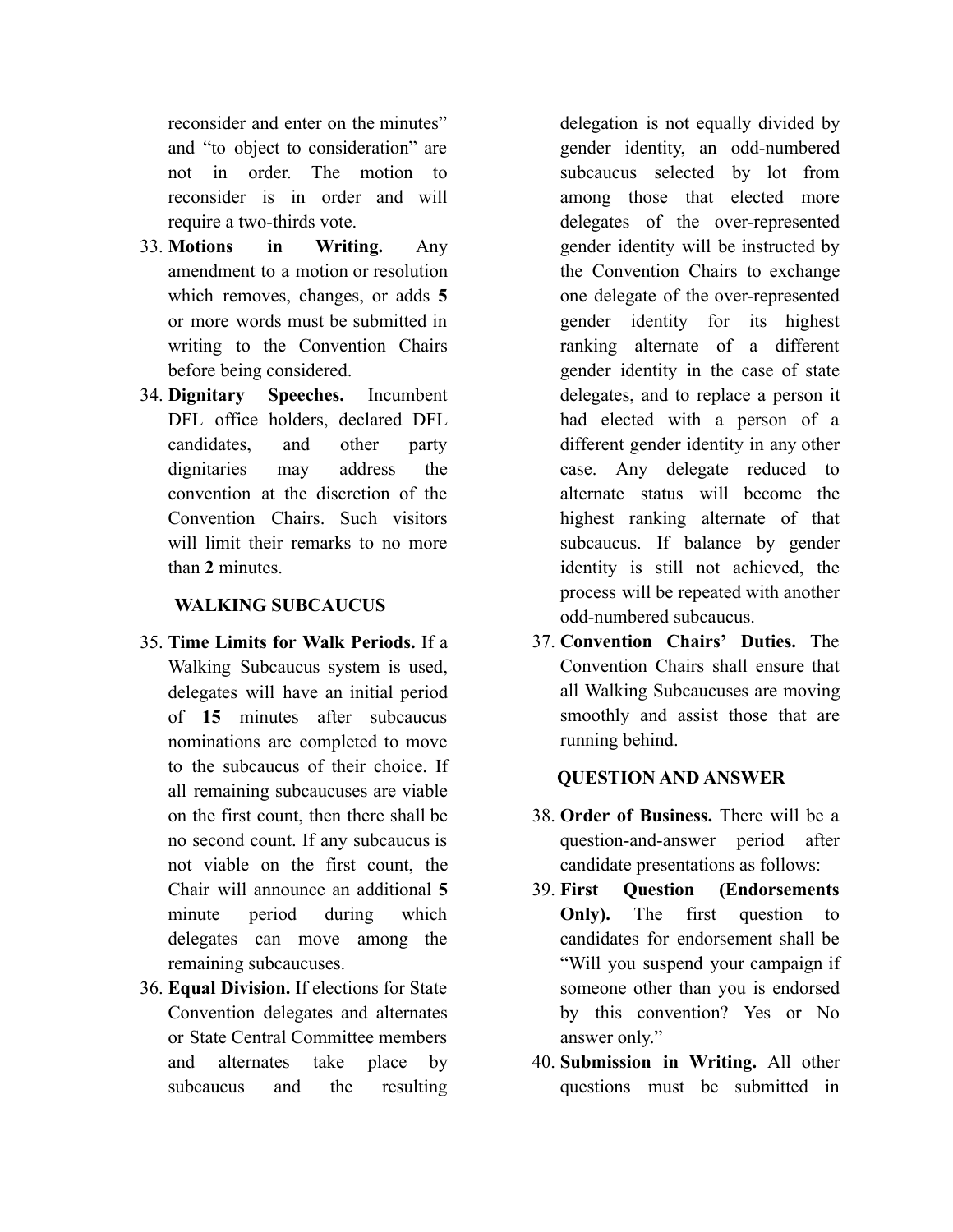reconsider and enter on the minutes" and "to object to consideration" are not in order. The motion to reconsider is in order and will require a two-thirds vote.

- 33. **Motions in Writing.** Any amendment to a motion or resolution which removes, changes, or adds **5** or more words must be submitted in writing to the Convention Chairs before being considered.
- 34. **Dignitary Speeches.** Incumbent DFL office holders, declared DFL candidates, and other party dignitaries may address the convention at the discretion of the Convention Chairs. Such visitors will limit their remarks to no more than **2** minutes.

#### **WALKING SUBCAUCUS**

- 35. **Time Limits for Walk Periods.** If a Walking Subcaucus system is used, delegates will have an initial period of **15** minutes after subcaucus nominations are completed to move to the subcaucus of their choice. If all remaining subcaucuses are viable on the first count, then there shall be no second count. If any subcaucus is not viable on the first count, the Chair will announce an additional **5** minute period during which delegates can move among the remaining subcaucuses.
- 36. **Equal Division.** If elections for State Convention delegates and alternates or State Central Committee members and alternates take place by subcaucus and the resulting

delegation is not equally divided by gender identity, an odd-numbered subcaucus selected by lot from among those that elected more delegates of the over-represented gender identity will be instructed by the Convention Chairs to exchange one delegate of the over-represented gender identity for its highest ranking alternate of a different gender identity in the case of state delegates, and to replace a person it had elected with a person of a different gender identity in any other case. Any delegate reduced to alternate status will become the highest ranking alternate of that subcaucus. If balance by gender identity is still not achieved, the process will be repeated with another odd-numbered subcaucus.

37. **Convention Chairs' Duties.** The Convention Chairs shall ensure that all Walking Subcaucuses are moving smoothly and assist those that are running behind.

#### **QUESTION AND ANSWER**

- 38. **Order of Business.** There will be a question-and-answer period after candidate presentations as follows:
- 39. **First Question (Endorsements Only).** The first question to candidates for endorsement shall be "Will you suspend your campaign if someone other than you is endorsed by this convention? Yes or No answer only."
- 40. **Submission in Writing.** All other questions must be submitted in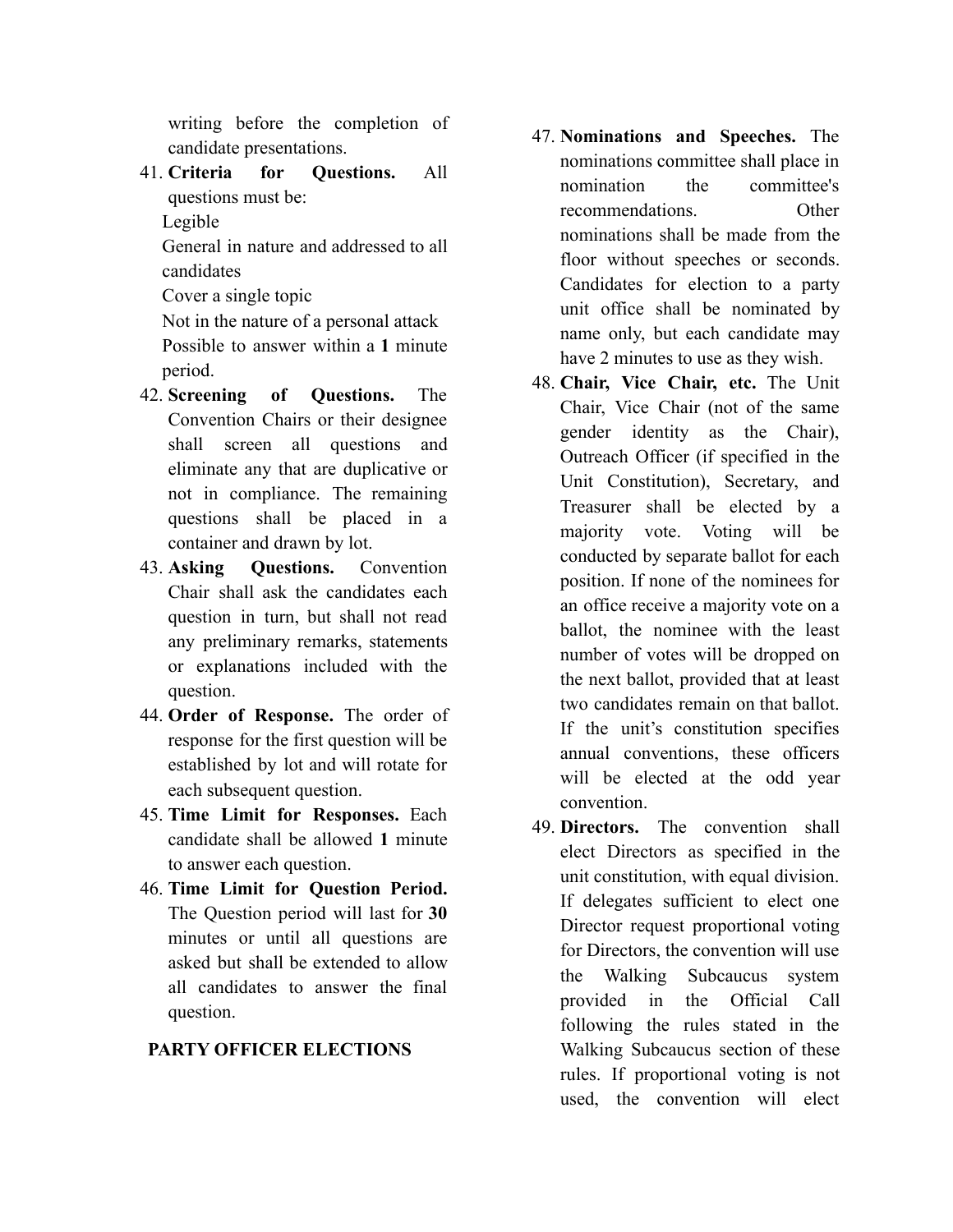writing before the completion of candidate presentations.

41. **Criteria for Questions.** All questions must be:

Legible

General in nature and addressed to all candidates

Cover a single topic

Not in the nature of a personal attack Possible to answer within a **1** minute period.

- 42. **Screening of Questions.** The Convention Chairs or their designee shall screen all questions and eliminate any that are duplicative or not in compliance. The remaining questions shall be placed in a container and drawn by lot.
- 43. **Asking Questions.** Convention Chair shall ask the candidates each question in turn, but shall not read any preliminary remarks, statements or explanations included with the question.
- 44. **Order of Response.** The order of response for the first question will be established by lot and will rotate for each subsequent question.
- 45. **Time Limit for Responses.** Each candidate shall be allowed **1** minute to answer each question.
- 46. **Time Limit for Question Period.** The Question period will last for **30** minutes or until all questions are asked but shall be extended to allow all candidates to answer the final question.

# **PARTY OFFICER ELECTIONS**

- 47. **Nominations and Speeches.** The nominations committee shall place in nomination the committee's recommendations. Other nominations shall be made from the floor without speeches or seconds. Candidates for election to a party unit office shall be nominated by name only, but each candidate may have 2 minutes to use as they wish.
- 48. **Chair, Vice Chair, etc.** The Unit Chair, Vice Chair (not of the same gender identity as the Chair), Outreach Officer (if specified in the Unit Constitution), Secretary, and Treasurer shall be elected by a majority vote. Voting will be conducted by separate ballot for each position. If none of the nominees for an office receive a majority vote on a ballot, the nominee with the least number of votes will be dropped on the next ballot, provided that at least two candidates remain on that ballot. If the unit's constitution specifies annual conventions, these officers will be elected at the odd year convention.
- 49. **Directors.** The convention shall elect Directors as specified in the unit constitution, with equal division. If delegates sufficient to elect one Director request proportional voting for Directors, the convention will use the Walking Subcaucus system provided in the Official Call following the rules stated in the Walking Subcaucus section of these rules. If proportional voting is not used, the convention will elect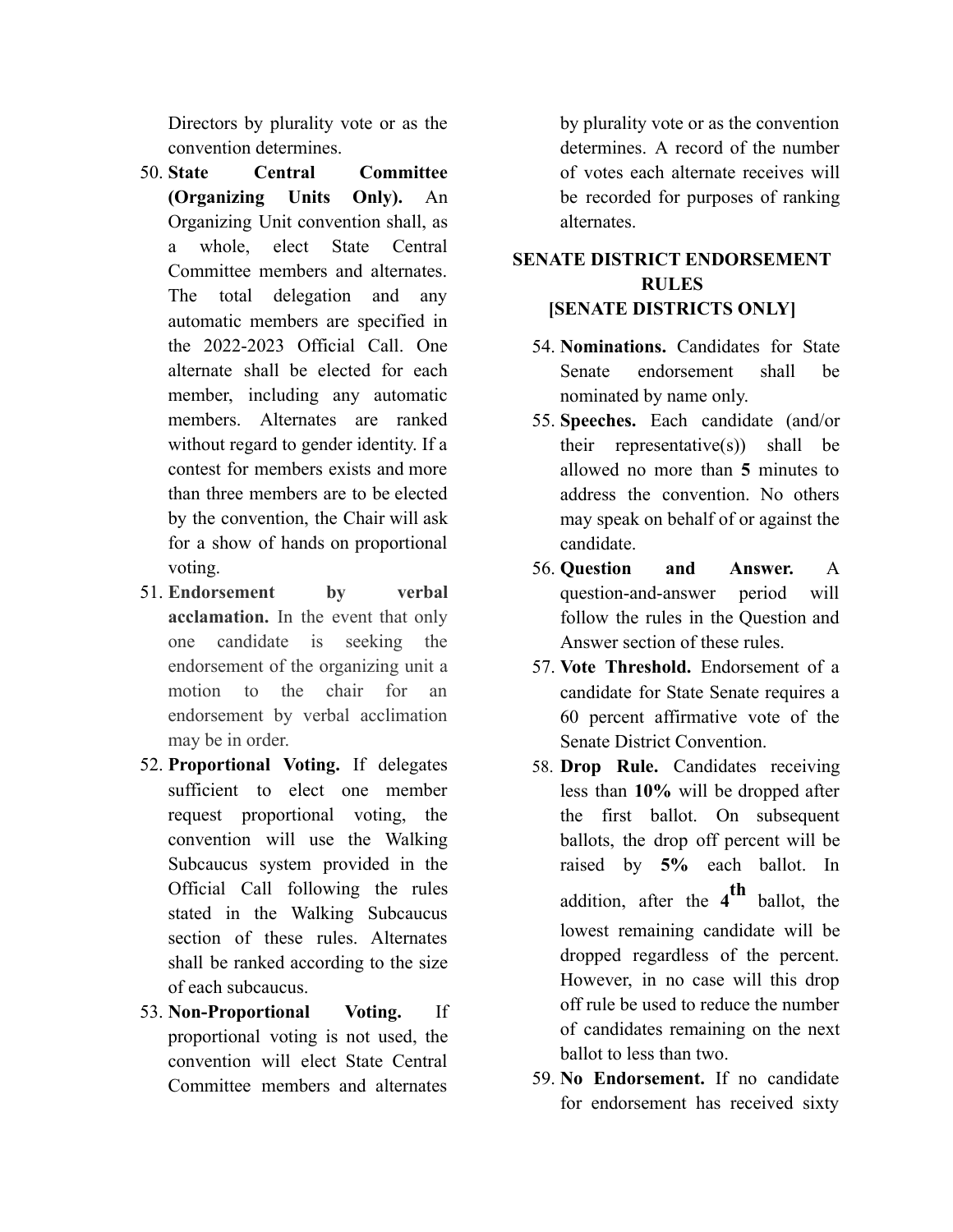Directors by plurality vote or as the convention determines.

- 50. **State Central Committee (Organizing Units Only).** An Organizing Unit convention shall, as a whole, elect State Central Committee members and alternates. The total delegation and any automatic members are specified in the 2022-2023 Official Call. One alternate shall be elected for each member, including any automatic members. Alternates are ranked without regard to gender identity. If a contest for members exists and more than three members are to be elected by the convention, the Chair will ask for a show of hands on proportional voting.
- 51. **Endorsement by verbal acclamation.** In the event that only one candidate is seeking the endorsement of the organizing unit a motion to the chair for an endorsement by verbal acclimation may be in order.
- 52. **Proportional Voting.** If delegates sufficient to elect one member request proportional voting, the convention will use the Walking Subcaucus system provided in the Official Call following the rules stated in the Walking Subcaucus section of these rules. Alternates shall be ranked according to the size of each subcaucus.
- 53. **Non-Proportional Voting.** If proportional voting is not used, the convention will elect State Central Committee members and alternates

by plurality vote or as the convention determines. A record of the number of votes each alternate receives will be recorded for purposes of ranking alternates.

# **SENATE DISTRICT ENDORSEMENT RULES [SENATE DISTRICTS ONLY]**

- 54. **Nominations.** Candidates for State Senate endorsement shall be nominated by name only.
- 55. **Speeches.** Each candidate (and/or their representative $(s)$ ) shall be allowed no more than **5** minutes to address the convention. No others may speak on behalf of or against the candidate.
- 56. **Question and Answer.** A question-and-answer period will follow the rules in the Question and Answer section of these rules.
- 57. **Vote Threshold.** Endorsement of a candidate for State Senate requires a 60 percent affirmative vote of the Senate District Convention.
- 58. **Drop Rule.** Candidates receiving less than **10%** will be dropped after the first ballot. On subsequent ballots, the drop off percent will be raised by **5%** each ballot. In addition, after the **4 th** ballot, the lowest remaining candidate will be dropped regardless of the percent. However, in no case will this drop off rule be used to reduce the number of candidates remaining on the next ballot to less than two.
- 59. **No Endorsement.** If no candidate for endorsement has received sixty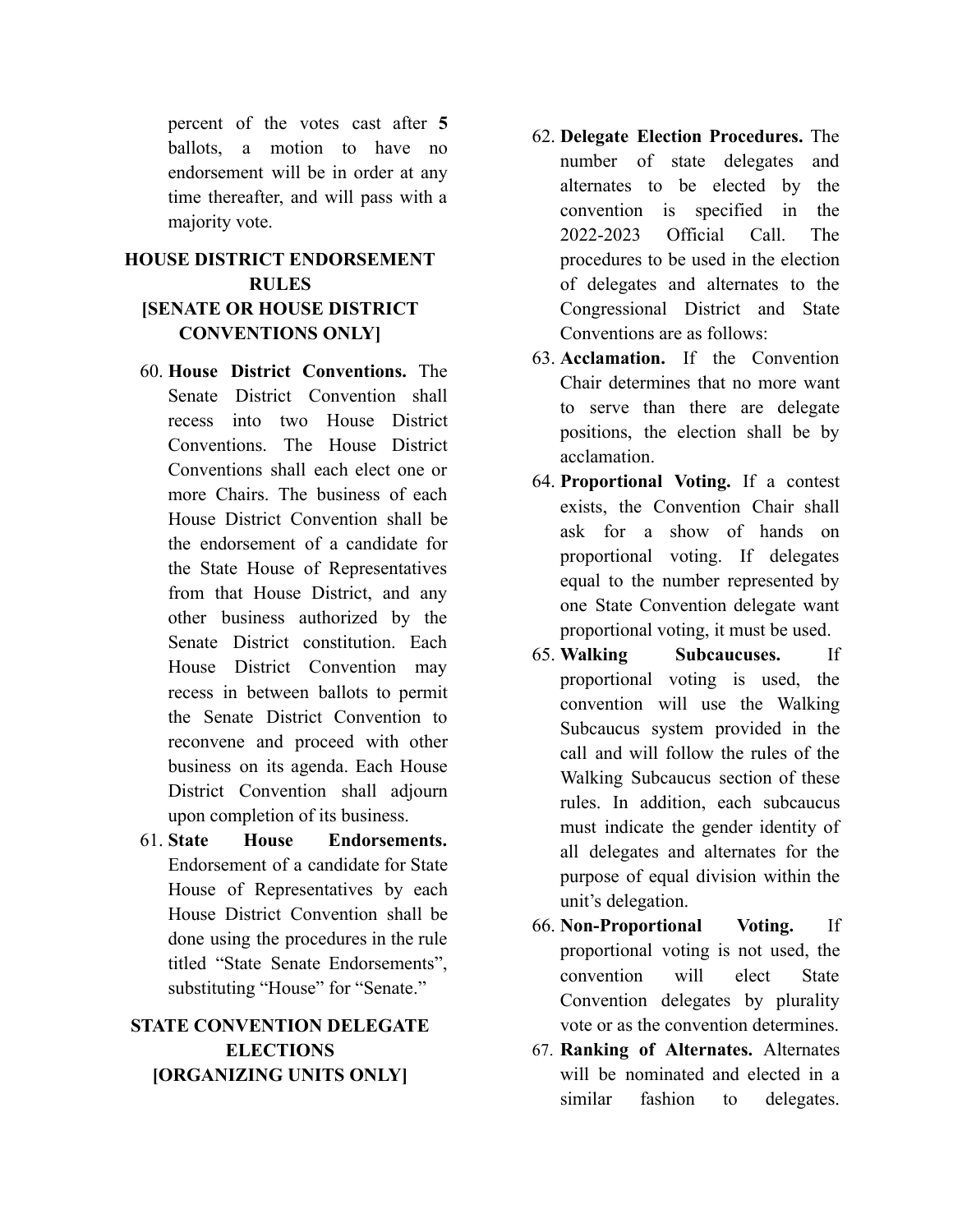percent of the votes cast after **5** ballots, a motion to have no endorsement will be in order at any time thereafter, and will pass with a majority vote.

# **HOUSE DISTRICT ENDORSEMENT RULES [SENATE OR HOUSE DISTRICT CONVENTIONS ONLY]**

- 60. **House District Conventions.** The Senate District Convention shall recess into two House District Conventions. The House District Conventions shall each elect one or more Chairs. The business of each House District Convention shall be the endorsement of a candidate for the State House of Representatives from that House District, and any other business authorized by the Senate District constitution. Each House District Convention may recess in between ballots to permit the Senate District Convention to reconvene and proceed with other business on its agenda. Each House District Convention shall adjourn upon completion of its business.
- 61. **State House Endorsements.** Endorsement of a candidate for State House of Representatives by each House District Convention shall be done using the procedures in the rule titled "State Senate Endorsements", substituting "House" for "Senate."

## **STATE CONVENTION DELEGATE ELECTIONS [ORGANIZING UNITS ONLY]**

- 62. **Delegate Election Procedures.** The number of state delegates and alternates to be elected by the convention is specified in the 2022-2023 Official Call. The procedures to be used in the election of delegates and alternates to the Congressional District and State Conventions are as follows:
- 63. **Acclamation.** If the Convention Chair determines that no more want to serve than there are delegate positions, the election shall be by acclamation.
- 64. **Proportional Voting.** If a contest exists, the Convention Chair shall ask for a show of hands on proportional voting. If delegates equal to the number represented by one State Convention delegate want proportional voting, it must be used.
- 65. **Walking Subcaucuses.** If proportional voting is used, the convention will use the Walking Subcaucus system provided in the call and will follow the rules of the Walking Subcaucus section of these rules. In addition, each subcaucus must indicate the gender identity of all delegates and alternates for the purpose of equal division within the unit's delegation.
- 66. **Non-Proportional Voting.** If proportional voting is not used, the convention will elect State Convention delegates by plurality vote or as the convention determines.
- 67. **Ranking of Alternates.** Alternates will be nominated and elected in a similar fashion to delegates.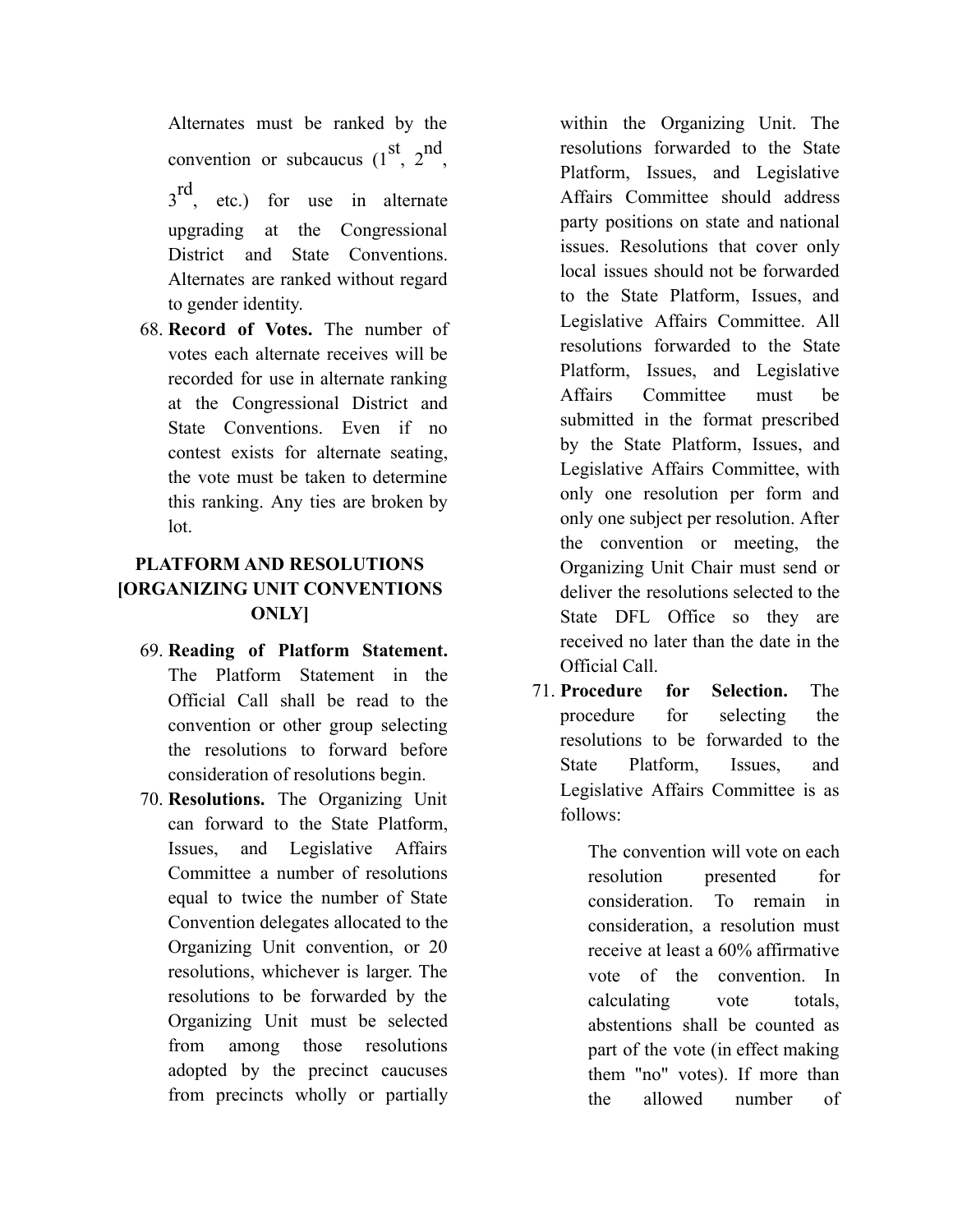Alternates must be ranked by the convention or subcaucus  $(1^{\text{st}}, 2^{\text{nd}})$  $3<sup>rd</sup>$ , etc.) for use in alternate upgrading at the Congressional District and State Conventions. Alternates are ranked without regard to gender identity.

68. **Record of Votes.** The number of votes each alternate receives will be recorded for use in alternate ranking at the Congressional District and State Conventions. Even if no contest exists for alternate seating, the vote must be taken to determine this ranking. Any ties are broken by lot.

# **PLATFORM AND RESOLUTIONS [ORGANIZING UNIT CONVENTIONS ONLY]**

- 69. **Reading of Platform Statement.** The Platform Statement in the Official Call shall be read to the convention or other group selecting the resolutions to forward before consideration of resolutions begin.
- 70. **Resolutions.** The Organizing Unit can forward to the State Platform, Issues, and Legislative Affairs Committee a number of resolutions equal to twice the number of State Convention delegates allocated to the Organizing Unit convention, or 20 resolutions, whichever is larger. The resolutions to be forwarded by the Organizing Unit must be selected from among those resolutions adopted by the precinct caucuses from precincts wholly or partially

within the Organizing Unit. The resolutions forwarded to the State Platform, Issues, and Legislative Affairs Committee should address party positions on state and national issues. Resolutions that cover only local issues should not be forwarded to the State Platform, Issues, and Legislative Affairs Committee. All resolutions forwarded to the State Platform, Issues, and Legislative Affairs Committee must be submitted in the format prescribed by the State Platform, Issues, and Legislative Affairs Committee, with only one resolution per form and only one subject per resolution. After the convention or meeting, the Organizing Unit Chair must send or deliver the resolutions selected to the State DFL Office so they are received no later than the date in the Official Call.

71. **Procedure for Selection.** The procedure for selecting the resolutions to be forwarded to the State Platform, Issues, and Legislative Affairs Committee is as follows:

> The convention will vote on each resolution presented for consideration. To remain in consideration, a resolution must receive at least a 60% affirmative vote of the convention. In calculating vote totals, abstentions shall be counted as part of the vote (in effect making them "no" votes). If more than the allowed number of